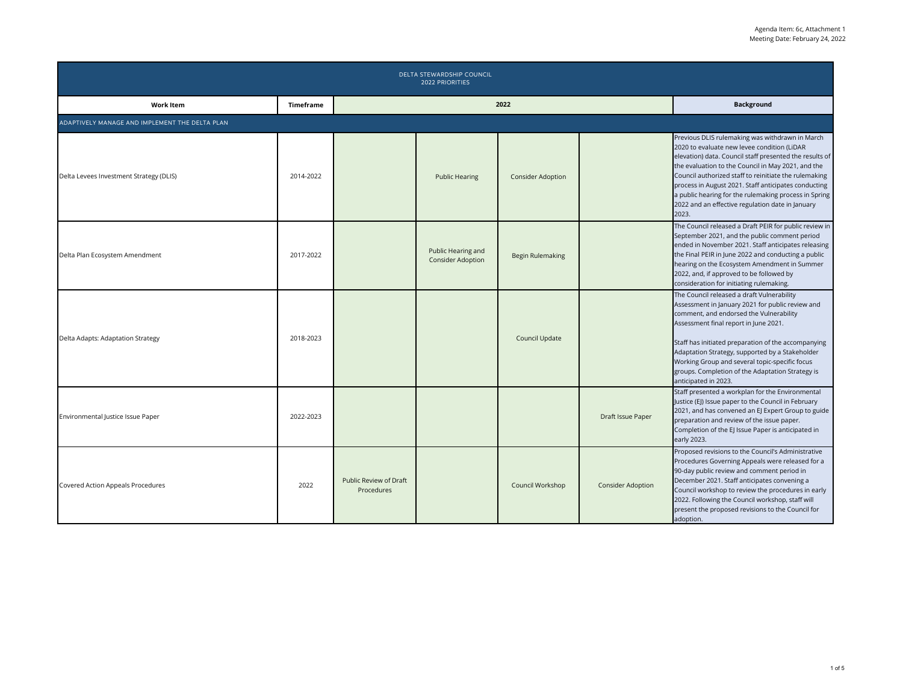| DELTA STEWARDSHIP COUNCIL<br><b>2022 PRIORITIES</b> |                  |                                      |                                                |                          |                          |                                                                                                                                                                                                                                                                                                                                                                                                                                                        |  |  |  |
|-----------------------------------------------------|------------------|--------------------------------------|------------------------------------------------|--------------------------|--------------------------|--------------------------------------------------------------------------------------------------------------------------------------------------------------------------------------------------------------------------------------------------------------------------------------------------------------------------------------------------------------------------------------------------------------------------------------------------------|--|--|--|
| <b>Work Item</b>                                    | <b>Timeframe</b> |                                      | 2022                                           | <b>Background</b>        |                          |                                                                                                                                                                                                                                                                                                                                                                                                                                                        |  |  |  |
| ADAPTIVELY MANAGE AND IMPLEMENT THE DELTA PLAN      |                  |                                      |                                                |                          |                          |                                                                                                                                                                                                                                                                                                                                                                                                                                                        |  |  |  |
| Delta Levees Investment Strategy (DLIS)             | 2014-2022        |                                      | <b>Public Hearing</b>                          | <b>Consider Adoption</b> |                          | Previous DLIS rulemaking was withdrawn in March<br>2020 to evaluate new levee condition (LiDAR<br>elevation) data. Council staff presented the results of<br>the evaluation to the Council in May 2021, and the<br>Council authorized staff to reinitiate the rulemaking<br>process in August 2021. Staff anticipates conducting<br>a public hearing for the rulemaking process in Spring<br>2022 and an effective regulation date in January<br>2023. |  |  |  |
| Delta Plan Ecosystem Amendment                      | 2017-2022        |                                      | Public Hearing and<br><b>Consider Adoption</b> | <b>Begin Rulemaking</b>  |                          | The Council released a Draft PEIR for public review in<br>September 2021, and the public comment period<br>ended in November 2021. Staff anticipates releasing<br>the Final PEIR in June 2022 and conducting a public<br>hearing on the Ecosystem Amendment in Summer<br>2022, and, if approved to be followed by<br>consideration for initiating rulemaking.                                                                                          |  |  |  |
| Delta Adapts: Adaptation Strategy                   | 2018-2023        |                                      |                                                | Council Update           |                          | The Council released a draft Vulnerability<br>Assessment in January 2021 for public review and<br>comment, and endorsed the Vulnerability<br>Assessment final report in June 2021.<br>Staff has initiated preparation of the accompanying<br>Adaptation Strategy, supported by a Stakeholder<br>Working Group and several topic-specific focus<br>groups. Completion of the Adaptation Strategy is<br>anticipated in 2023.                             |  |  |  |
| Environmental Justice Issue Paper                   | 2022-2023        |                                      |                                                |                          | Draft Issue Paper        | Staff presented a workplan for the Environmental<br>Justice (EJ) Issue paper to the Council in February<br>2021, and has convened an EJ Expert Group to guide<br>preparation and review of the issue paper.<br>Completion of the EJ Issue Paper is anticipated in<br>early 2023.                                                                                                                                                                       |  |  |  |
| Covered Action Appeals Procedures                   | 2022             | Public Review of Draft<br>Procedures |                                                | Council Workshop         | <b>Consider Adoption</b> | Proposed revisions to the Council's Administrative<br>Procedures Governing Appeals were released for a<br>90-day public review and comment period in<br>December 2021. Staff anticipates convening a<br>Council workshop to review the procedures in early<br>2022. Following the Council workshop, staff will<br>present the proposed revisions to the Council for<br>adoption.                                                                       |  |  |  |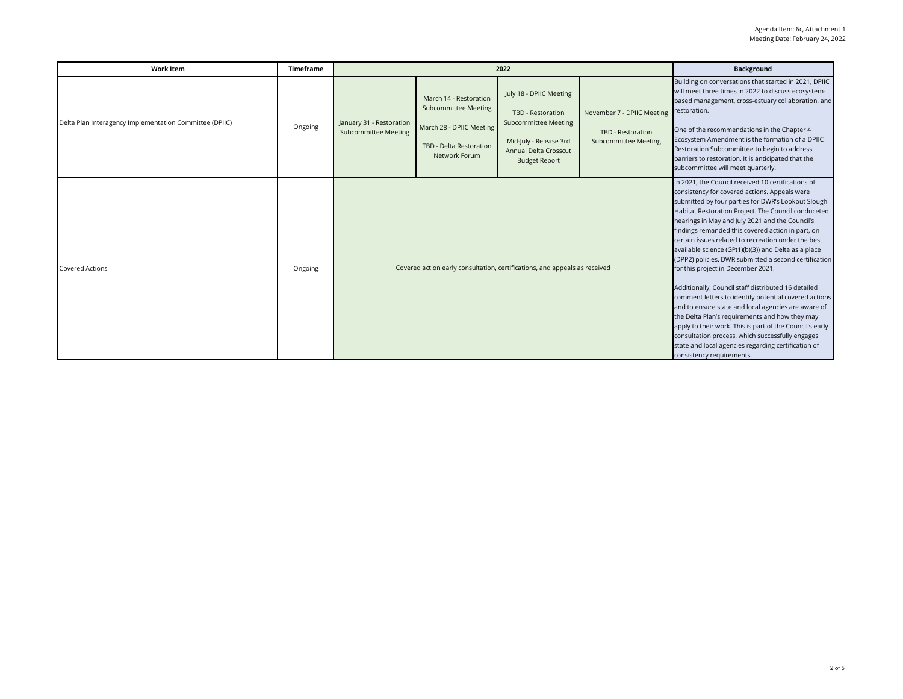| <b>Work Item</b>                                        | <b>Timeframe</b> | 2022                                                                       |                                                                                                                               |                                                                                                                                                        |                                                                                | <b>Background</b>                                                                                                                                                                                                                                                                                                                                                                                                                                                                                                                                                                                                                                                                                                                                                                                                                                                                                                                                                   |
|---------------------------------------------------------|------------------|----------------------------------------------------------------------------|-------------------------------------------------------------------------------------------------------------------------------|--------------------------------------------------------------------------------------------------------------------------------------------------------|--------------------------------------------------------------------------------|---------------------------------------------------------------------------------------------------------------------------------------------------------------------------------------------------------------------------------------------------------------------------------------------------------------------------------------------------------------------------------------------------------------------------------------------------------------------------------------------------------------------------------------------------------------------------------------------------------------------------------------------------------------------------------------------------------------------------------------------------------------------------------------------------------------------------------------------------------------------------------------------------------------------------------------------------------------------|
| Delta Plan Interagency Implementation Committee (DPIIC) | Ongoing          | January 31 - Restoration<br><b>Subcommittee Meeting</b>                    | March 14 - Restoration<br><b>Subcommittee Meeting</b><br>March 28 - DPIIC Meeting<br>TBD - Delta Restoration<br>Network Forum | July 18 - DPIIC Meeting<br>TBD - Restoration<br><b>Subcommittee Meeting</b><br>Mid-July - Release 3rd<br>Annual Delta Crosscut<br><b>Budget Report</b> | November 7 - DPIIC Meeting<br>TBD - Restoration<br><b>Subcommittee Meeting</b> | Building on conversations that started in 2021, DPIIC<br>will meet three times in 2022 to discuss ecosystem-<br>based management, cross-estuary collaboration, and<br>restoration.<br>One of the recommendations in the Chapter 4<br>Ecosystem Amendment is the formation of a DPIIC<br>Restoration Subcommittee to begin to address<br>barriers to restoration. It is anticipated that the<br>subcommittee will meet quarterly.                                                                                                                                                                                                                                                                                                                                                                                                                                                                                                                                    |
| <b>Covered Actions</b>                                  | Ongoing          | Covered action early consultation, certifications, and appeals as received |                                                                                                                               |                                                                                                                                                        |                                                                                | In 2021, the Council received 10 certifications of<br>consistency for covered actions. Appeals were<br>submitted by four parties for DWR's Lookout Slough<br>Habitat Restoration Project. The Council conduceted<br>hearings in May and July 2021 and the Council's<br>findings remanded this covered action in part, on<br>certain issues related to recreation under the best<br>available science (GP(1)(b)(3)) and Delta as a place<br>(DPP2) policies. DWR submitted a second certification<br>for this project in December 2021.<br>Additionally, Council staff distributed 16 detailed<br>comment letters to identify potential covered actions<br>and to ensure state and local agencies are aware of<br>the Delta Plan's requirements and how they may<br>apply to their work. This is part of the Council's early<br>consultation process, which successfully engages<br>state and local agencies regarding certification of<br>consistency requirements. |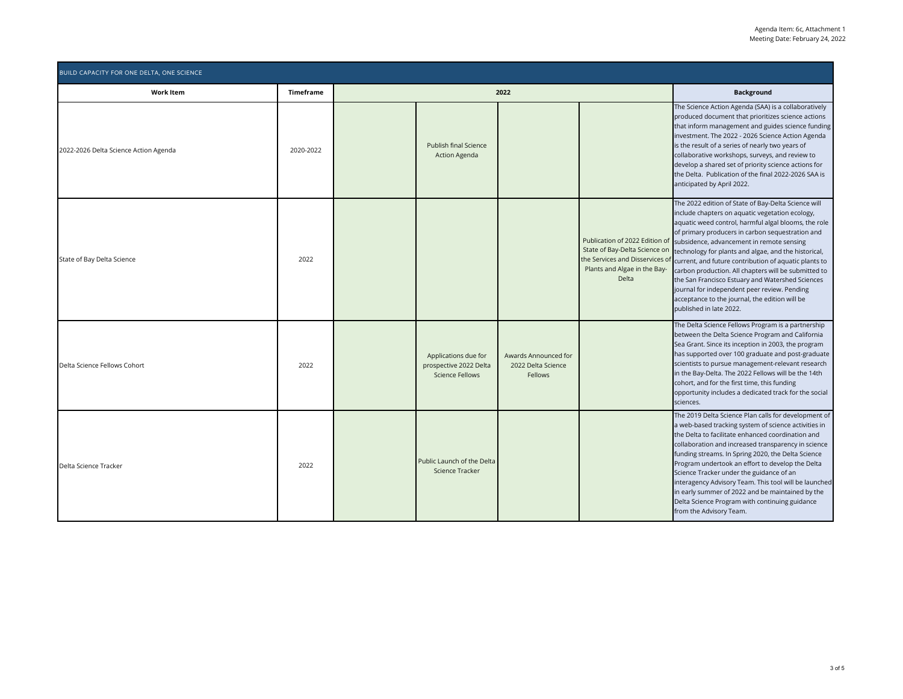| <b>BUILD CAPACITY FOR ONE DELTA, ONE SCIENCE</b> |                  |      |                                                                          |                                                       |                                                                                                                  |                                                                                                                                                                                                                                                                                                                                                                                                                                                                                                                                                                                                                                                          |  |
|--------------------------------------------------|------------------|------|--------------------------------------------------------------------------|-------------------------------------------------------|------------------------------------------------------------------------------------------------------------------|----------------------------------------------------------------------------------------------------------------------------------------------------------------------------------------------------------------------------------------------------------------------------------------------------------------------------------------------------------------------------------------------------------------------------------------------------------------------------------------------------------------------------------------------------------------------------------------------------------------------------------------------------------|--|
| <b>Work Item</b>                                 | <b>Timeframe</b> | 2022 |                                                                          |                                                       |                                                                                                                  | <b>Background</b>                                                                                                                                                                                                                                                                                                                                                                                                                                                                                                                                                                                                                                        |  |
| 2022-2026 Delta Science Action Agenda            | 2020-2022        |      | Publish final Science<br><b>Action Agenda</b>                            |                                                       |                                                                                                                  | The Science Action Agenda (SAA) is a collaboratively<br>produced document that prioritizes science actions<br>that inform management and guides science funding<br>investment. The 2022 - 2026 Science Action Agenda<br>is the result of a series of nearly two years of<br>collaborative workshops, surveys, and review to<br>develop a shared set of priority science actions for<br>the Delta. Publication of the final 2022-2026 SAA is<br>anticipated by April 2022.                                                                                                                                                                                |  |
| State of Bay Delta Science                       | 2022             |      |                                                                          |                                                       | State of Bay-Delta Science on<br>the Services and Disservices of<br>Plants and Algae in the Bay-<br><b>Delta</b> | The 2022 edition of State of Bay-Delta Science will<br>include chapters on aquatic vegetation ecology,<br>aquatic weed control, harmful algal blooms, the role<br>of primary producers in carbon sequestration and<br>Publication of 2022 Edition of subsidence, advancement in remote sensing<br>technology for plants and algae, and the historical,<br>current, and future contribution of aquatic plants to<br>carbon production. All chapters will be submitted to<br>the San Francisco Estuary and Watershed Sciences<br>journal for independent peer review. Pending<br>acceptance to the journal, the edition will be<br>published in late 2022. |  |
| Delta Science Fellows Cohort                     | 2022             |      | Applications due for<br>prospective 2022 Delta<br><b>Science Fellows</b> | Awards Announced for<br>2022 Delta Science<br>Fellows |                                                                                                                  | The Delta Science Fellows Program is a partnership<br>between the Delta Science Program and California<br>Sea Grant. Since its inception in 2003, the program<br>has supported over 100 graduate and post-graduate<br>scientists to pursue management-relevant research<br>in the Bay-Delta. The 2022 Fellows will be the 14th<br>cohort, and for the first time, this funding<br>opportunity includes a dedicated track for the social<br>sciences.                                                                                                                                                                                                     |  |
| Delta Science Tracker                            | 2022             |      | Public Launch of the Delta<br>Science Tracker                            |                                                       |                                                                                                                  | The 2019 Delta Science Plan calls for development of<br>a web-based tracking system of science activities in<br>the Delta to facilitate enhanced coordination and<br>collaboration and increased transparency in science<br>funding streams. In Spring 2020, the Delta Science<br>Program undertook an effort to develop the Delta<br>Science Tracker under the guidance of an<br>interagency Advisory Team. This tool will be launched<br>in early summer of 2022 and be maintained by the<br>Delta Science Program with continuing guidance<br>from the Advisory Team.                                                                                 |  |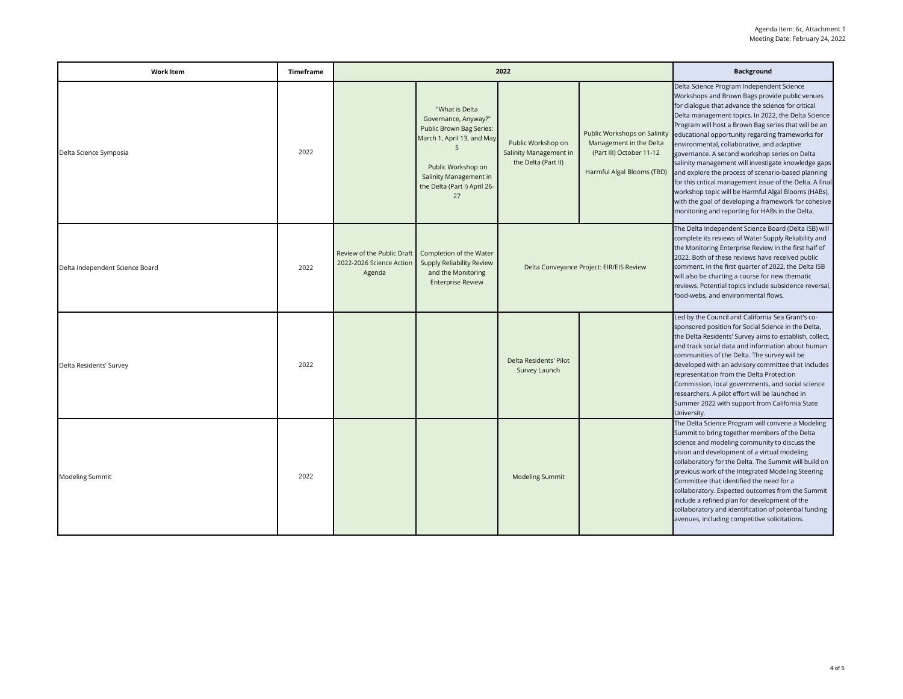| <b>Work Item</b>                | Timeframe | 2022                                                             |                                                                                                                                                                                             |                                                                     |                                                                                                                   | <b>Background</b>                                                                                                                                                                                                                                                                                                                                                                                                                                                                                                                                                                                                                                                                                                                                              |
|---------------------------------|-----------|------------------------------------------------------------------|---------------------------------------------------------------------------------------------------------------------------------------------------------------------------------------------|---------------------------------------------------------------------|-------------------------------------------------------------------------------------------------------------------|----------------------------------------------------------------------------------------------------------------------------------------------------------------------------------------------------------------------------------------------------------------------------------------------------------------------------------------------------------------------------------------------------------------------------------------------------------------------------------------------------------------------------------------------------------------------------------------------------------------------------------------------------------------------------------------------------------------------------------------------------------------|
| Delta Science Symposia          | 2022      |                                                                  | "What is Delta<br>Governance, Anyway?"<br>Public Brown Bag Series:<br>March 1, April 13, and May<br>5<br>Public Workshop on<br>Salinity Management in<br>the Delta (Part I) April 26-<br>27 | Public Workshop on<br>Salinity Management in<br>the Delta (Part II) | Public Workshops on Salinity<br>Management in the Delta<br>(Part III) October 11-12<br>Harmful Algal Blooms (TBD) | Delta Science Program Independent Science<br>Workshops and Brown Bags provide public venues<br>for dialogue that advance the science for critical<br>Delta management topics. In 2022, the Delta Science<br>Program will host a Brown Bag series that will be an<br>educational opportunity regarding frameworks for<br>environmental, collaborative, and adaptive<br>governance. A second workshop series on Delta<br>salinity management will investigate knowledge gaps<br>and explore the process of scenario-based planning<br>for this critical management issue of the Delta. A final<br>workshop topic will be Harmful Algal Blooms (HABs),<br>with the goal of developing a framework for cohesive<br>monitoring and reporting for HABs in the Delta. |
| Delta Independent Science Board | 2022      | Review of the Public Draft<br>2022-2026 Science Action<br>Agenda | Completion of the Water<br>Supply Reliability Review<br>and the Monitoring<br><b>Enterprise Review</b>                                                                                      | Delta Conveyance Project: EIR/EIS Review                            |                                                                                                                   | The Delta Independent Science Board (Delta ISB) will<br>complete its reviews of Water Supply Reliability and<br>the Monitoring Enterprise Review in the first half of<br>2022. Both of these reviews have received public<br>comment. In the first quarter of 2022, the Delta ISB<br>will also be charting a course for new thematic<br>reviews. Potential topics include subsidence reversal,<br>food-webs, and environmental flows.                                                                                                                                                                                                                                                                                                                          |
| Delta Residents' Survey         | 2022      |                                                                  |                                                                                                                                                                                             | Delta Residents' Pilot<br>Survey Launch                             |                                                                                                                   | Led by the Council and California Sea Grant's co-<br>sponsored position for Social Science in the Delta,<br>the Delta Residents' Survey aims to establish, collect,<br>and track social data and information about human<br>communities of the Delta. The survey will be<br>developed with an advisory committee that includes<br>representation from the Delta Protection<br>Commission, local governments, and social science<br>researchers. A pilot effort will be launched in<br>Summer 2022 with support from California State<br>University.                                                                                                                                                                                                            |
| Modeling Summit                 | 2022      |                                                                  |                                                                                                                                                                                             | <b>Modeling Summit</b>                                              |                                                                                                                   | The Delta Science Program will convene a Modeling<br>Summit to bring together members of the Delta<br>science and modeling community to discuss the<br>vision and development of a virtual modeling<br>collaboratory for the Delta. The Summit will build on<br>previous work of the Integrated Modeling Steering<br>Committee that identified the need for a<br>collaboratory. Expected outcomes from the Summit<br>include a refined plan for development of the<br>collaboratory and identification of potential funding<br>avenues, including competitive solicitations.                                                                                                                                                                                   |